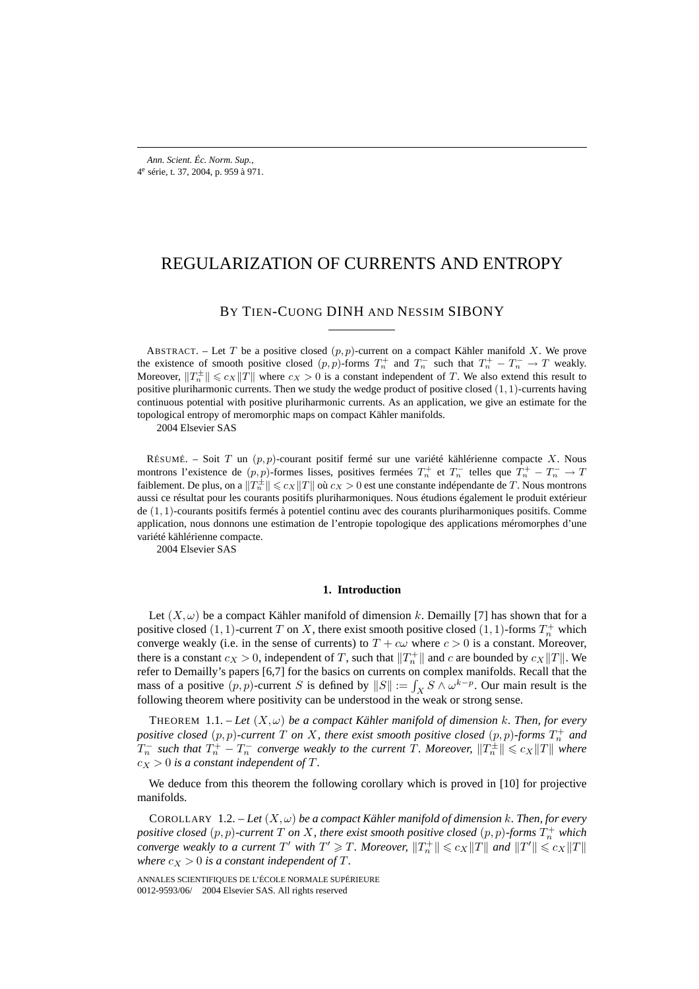# REGULARIZATION OF CURRENTS AND ENTROPY

# BY TIEN-CUONG DINH AND NESSIM SIBONY

ABSTRACT. – Let T be a positive closed  $(p, p)$ -current on a compact Kähler manifold X. We prove the existence of smooth positive closed  $(p, p)$ -forms  $T_n^+$  and  $T_n^-$  such that  $T_n^+ - T_n^- \to T$  weakly. Moreover,  $||T_n^{\pm}|| \leq c_X ||T||$  where  $c_X > 0$  is a constant independent of T. We also extend this result to positive pluriharmonic currents. Then we study the wedge product of positive closed (1, 1)-currents having continuous potential with positive pluriharmonic currents. As an application, we give an estimate for the topological entropy of meromorphic maps on compact Kähler manifolds.

2004 Elsevier SAS

RÉSUMÉ. – Soit T un  $(p, p)$ -courant positif fermé sur une variété kählérienne compacte X. Nous montrons l'existence de  $(p, p)$ -formes lisses, positives fermées  $T_n^+$  et  $T_n^-$  telles que  $T_n^+ - T_n^- \to T$ faiblement. De plus, on a  $||T_n^{\pm}|| \leq c_X ||T||$  où  $c_X > 0$  est une constante indépendante de T. Nous montrons aussi ce résultat pour les courants positifs pluriharmoniques. Nous étudions également le produit extérieur de (1, 1)-courants positifs fermés à potentiel continu avec des courants pluriharmoniques positifs. Comme application, nous donnons une estimation de l'entropie topologique des applications méromorphes d'une variété kählérienne compacte.

2004 Elsevier SAS

### **1. Introduction**

Let  $(X, \omega)$  be a compact Kähler manifold of dimension k. Demailly [7] has shown that for a positive closed  $(1, 1)$ -current T on X, there exist smooth positive closed  $(1, 1)$ -forms  $T_n^+$  which converge weakly (i.e. in the sense of currents) to  $T + c\omega$  where  $c > 0$  is a constant. Moreover, there is a constant  $c_X > 0$ , independent of T, such that  $||T_n^+||$  and c are bounded by  $c_X||T||$ . We refer to Demailly's papers [6,7] for the basics on currents on complex manifolds. Recall that the mass of a positive  $(p, p)$ -current S is defined by  $||S|| := \int_X S \wedge \omega^{k-p}$ . Our main result is the following theorem where positivity can be understood in the weak or strong sense.

THEOREM  $1.1.$  - Let  $(X, \omega)$  be a compact Kähler manifold of dimension k. Then, for every *positive closed*  $(p, p)$ -current  $T$  *on*  $X$ *, there exist smooth positive closed*  $(p, p)$ -forms  $T_n^+$  and  $T_n^-$  such that  $T_n^+ - T_n^-$  converge weakly to the current T. Moreover,  $||T_n^{\pm}|| \leqslant c_X ||T||$  where  $c_X > 0$  *is a constant independent of T.* 

We deduce from this theorem the following corollary which is proved in [10] for projective manifolds.

COROLLARY  $1.2. - Let(X, \omega)$  *be a compact Kähler manifold of dimension* k*. Then, for every* positive closed  $(p, p)$ -current  $T$  on  $X$ , there exist smooth positive closed  $(p, p)$ -forms  $T_n^+$  which *converge weakly to a current*  $T'$  with  $T' \geq T$ . Moreover,  $||T_n^+|| \leqslant c_X||T||$  and  $||T'|| \leqslant c_X||T||$ *where*  $c_X > 0$  *is a constant independent of*  $T$ *.* 

ANNALES SCIENTIFIQUES DE L'ÉCOLE NORMALE SUPÉRIEURE 0012-9593/06/© 2004 Elsevier SAS. All rights reserved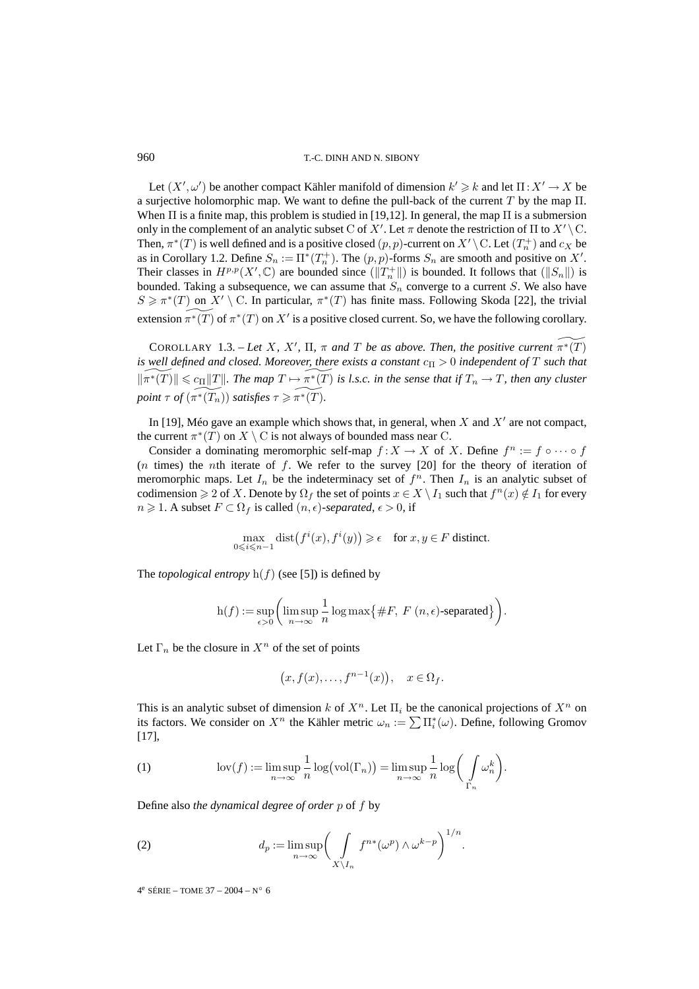960 T.-C. DINH AND N. SIBONY

Let  $(X', \omega')$  be another compact Kähler manifold of dimension  $k' \geq k$  and let  $\Pi : X' \to X$  be a surjective holomorphic map. We want to define the pull-back of the current T by the map  $\Pi$ . When  $\Pi$  is a finite map, this problem is studied in [19,12]. In general, the map  $\Pi$  is a submersion only in the complement of an analytic subset C of X'. Let  $\pi$  denote the restriction of  $\Pi$  to  $X' \setminus C$ . Then,  $\pi^*(T)$  is well defined and is a positive closed  $(p, p)$ -current on  $X' \setminus \mathcal{C}$ . Let  $(T_n^+)$  and  $c_X$  be as in Corollary 1.2. Define  $S_n := \Pi^*(T_n^+)$ . The  $(p, p)$ -forms  $S_n$  are smooth and positive on X'. Their classes in  $H^{p,p}(X', \mathbb{C})$  are bounded since  $(\|T_n^+\|)$  is bounded. It follows that  $(\|S_n\|)$  is bounded. Taking a subsequence, we can assume that  $S_n$  converge to a current S. We also have  $S \geq \pi^*(T)$  on  $X' \setminus C$ . In particular,  $\pi^*(T)$  has finite mass. Following Skoda [22], the trivial extension  $\widetilde{\pi^*(T)}$  of  $\pi^*(T)$  on  $X'$  is a positive closed current. So, we have the following corollary.

COROLLARY 1.3. – Let X, X',  $\Pi$ ,  $\pi$  and  $T$  be as above. Then, the positive current  $\widetilde{\pi^*(T)}$ *is well defined and closed. Moreover, there exists a constant*  $c_{\Pi} > 0$  *independent* of T such that  $\Vert \widetilde{\pi^*(T)} \Vert \leqslant c_{\Pi} \Vert T \Vert$ . The map  $T \mapsto \widetilde{\pi^*(T)}$  is l.s.c. in the sense that if  $T_n \to T$ , then any cluster *point*  $\tau$  *of*  $(\widetilde{\pi^*(T_n)})$  *satisfies*  $\tau \geq \widetilde{\pi^*(T)}$ *.* 

In [19], Méo gave an example which shows that, in general, when  $X$  and  $X'$  are not compact, the current  $\pi^*(T)$  on  $X \setminus C$  is not always of bounded mass near C.

Consider a dominating meromorphic self-map  $f: X \to X$  of X. Define  $f^n := f \circ \cdots \circ f$  $(n \times n)$  the nth iterate of f. We refer to the survey [20] for the theory of iteration of meromorphic maps. Let  $I_n$  be the indeterminacy set of  $f^n$ . Then  $I_n$  is an analytic subset of codimension  $\geq 2$  of X. Denote by  $\Omega_f$  the set of points  $x \in X \setminus I_1$  such that  $f^n(x) \notin I_1$  for every  $n \geqslant 1$ . A subset  $F \subset \Omega_f$  is called  $(n, \epsilon)$ -separated,  $\epsilon > 0$ , if

$$
\max_{0 \le i \le n-1} \text{dist}\big(f^i(x), f^i(y)\big) \ge \epsilon \quad \text{for } x, y \in F \text{ distinct.}
$$

The *topological entropy*  $h(f)$  (see [5]) is defined by

$$
h(f) := \sup_{\epsilon > 0} \bigg( \limsup_{n \to \infty} \frac{1}{n} \log \max \big\{ \#F, \ F \ (n, \epsilon) \text{-separated} \big\} \bigg).
$$

Let  $\Gamma_n$  be the closure in  $X^n$  of the set of points

$$
(x, f(x), \dots, f^{n-1}(x)), \quad x \in \Omega_f.
$$

This is an analytic subset of dimension k of  $X^n$ . Let  $\Pi_i$  be the canonical projections of  $X^n$  on its factors. We consider on  $X^n$  the Kähler metric  $\omega_n := \sum \prod_{i=1}^{*} (\omega)$ . Define, following Gromov [17],

(1) 
$$
\operatorname{lov}(f) := \limsup_{n \to \infty} \frac{1}{n} \log(\operatorname{vol}(\Gamma_n)) = \limsup_{n \to \infty} \frac{1}{n} \log\bigg(\int_{\Gamma_n} \omega_n^k\bigg).
$$

Define also *the dynamical degree of order* p of f by

(2) 
$$
d_p := \limsup_{n \to \infty} \left( \int_{X \setminus I_n} f^{n*}(\omega^p) \wedge \omega^{k-p} \right)^{1/n}.
$$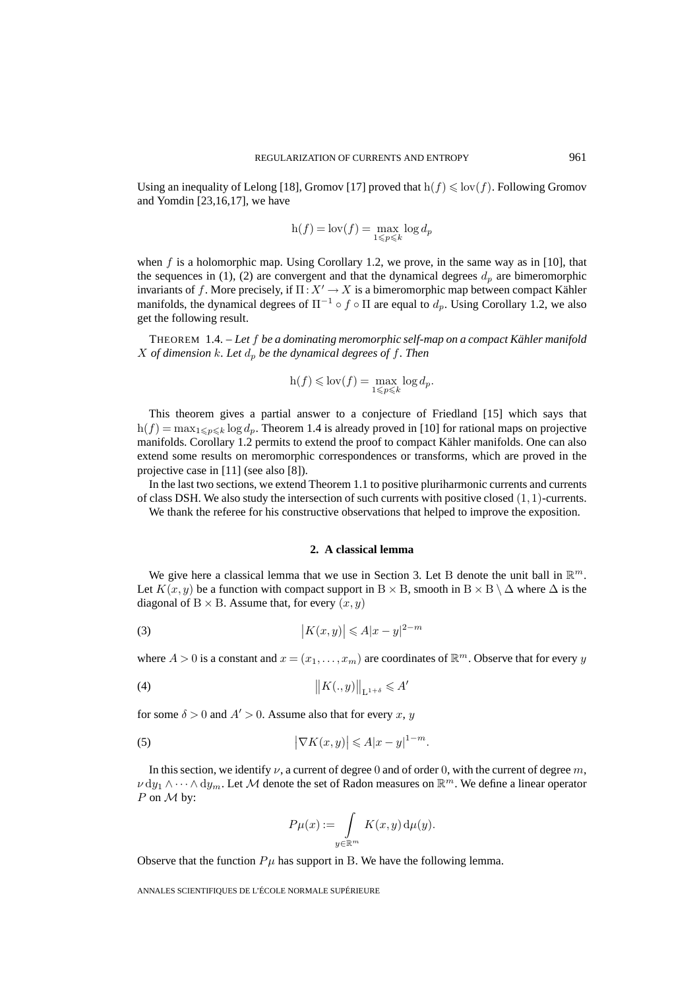Using an inequality of Lelong [18], Gromov [17] proved that  $h(f) \leq \text{lov}(f)$ . Following Gromov and Yomdin [23,16,17], we have

$$
\mathbf{h}(f)=\mathbf{lov}(f)=\max_{1\leqslant p\leqslant k}\log d_p
$$

when  $f$  is a holomorphic map. Using Corollary 1.2, we prove, in the same way as in [10], that the sequences in (1), (2) are convergent and that the dynamical degrees  $d_p$  are bimeromorphic invariants of f. More precisely, if  $\Pi: X' \to X$  is a bimeromorphic map between compact Kähler manifolds, the dynamical degrees of  $\Pi^{-1} \circ f \circ \Pi$  are equal to  $d_p$ . Using Corollary 1.2, we also get the following result.

THEOREM 1.4. – *Let* f *be a dominating meromorphic self-map on a compact Kähler manifold* X of dimension k. Let  $d_p$  be the dynamical degrees of f. Then

$$
h(f) \leqslant \text{lov}(f) = \max_{1 \leqslant p \leqslant k} \log d_p.
$$

This theorem gives a partial answer to a conjecture of Friedland [15] which says that  $h(f) = \max_{1 \leq p \leq k} \log d_p$ . Theorem 1.4 is already proved in [10] for rational maps on projective manifolds. Corollary 1.2 permits to extend the proof to compact Kähler manifolds. One can also extend some results on meromorphic correspondences or transforms, which are proved in the projective case in [11] (see also [8]).

In the last two sections, we extend Theorem 1.1 to positive pluriharmonic currents and currents of class DSH. We also study the intersection of such currents with positive closed  $(1, 1)$ -currents.

We thank the referee for his constructive observations that helped to improve the exposition.

# **2. A classical lemma**

We give here a classical lemma that we use in Section 3. Let B denote the unit ball in  $\mathbb{R}^m$ . Let  $K(x, y)$  be a function with compact support in B × B, smooth in B × B  $\setminus \Delta$  where  $\Delta$  is the diagonal of  $B \times B$ . Assume that, for every  $(x, y)$ 

$$
(3) \t\t\t |K(x,y)| \leqslant A|x-y|^{2-m}
$$

where  $A > 0$  is a constant and  $x = (x_1, \ldots, x_m)$  are coordinates of  $\mathbb{R}^m$ . Observe that for every y

$$
(4) \t\t\t ||K(.,y)||_{L^{1+\delta}} \leqslant A'
$$

for some  $\delta > 0$  and  $A' > 0$ . Assume also that for every x, y

(5) 
$$
\left|\nabla K(x,y)\right| \leqslant A|x-y|^{1-m}.
$$

In this section, we identify  $\nu$ , a current of degree 0 and of order 0, with the current of degree m,  $\nu \, dy_1 \wedge \cdots \wedge dy_m$ . Let M denote the set of Radon measures on  $\mathbb{R}^m$ . We define a linear operator P on  $M$  by:

$$
P\mu(x) := \int\limits_{y \in \mathbb{R}^m} K(x, y) \, \mathrm{d}\mu(y).
$$

Observe that the function  $P\mu$  has support in B. We have the following lemma.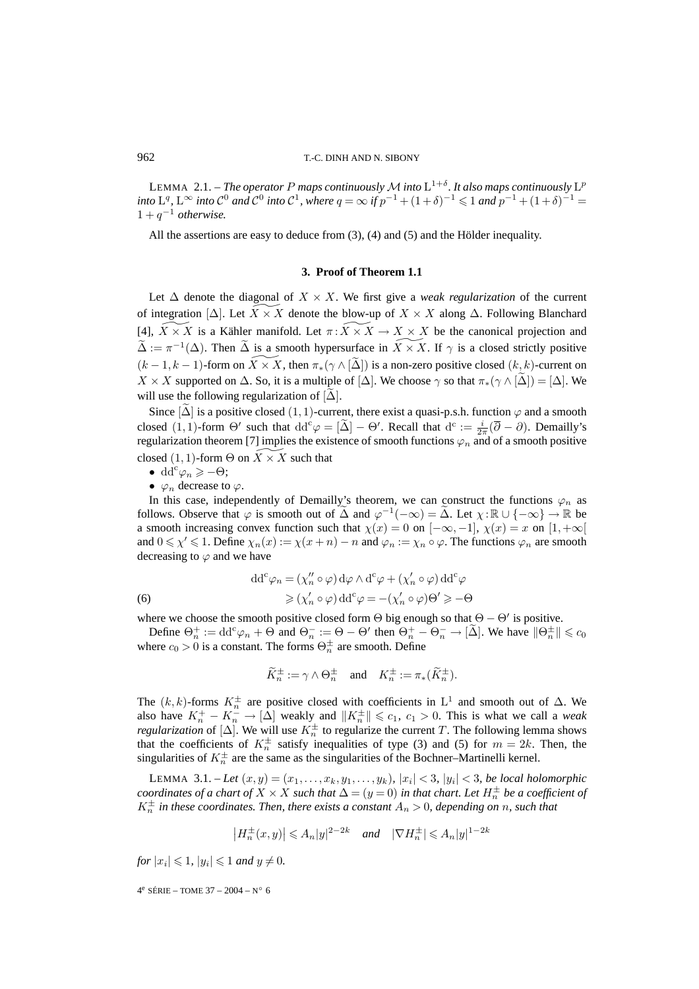#### 962 T.-C. DINH AND N. SIBONY

LEMMA 2.1. – *The operator* P maps continuously M into  $L^{1+\delta}$ . It also maps continuously  $L^p$ *into*  $L^q$ ,  $L^\infty$  *into*  $C^0$  *and*  $C^0$  *into*  $C^1$ *, where*  $q = \infty$  *if*  $p^{-1} + (1+\delta)^{-1} \leq 1$  *and*  $p^{-1} + (1+\delta)^{-1} =$  $1 + q^{-1}$  *otherwise.* 

All the assertions are easy to deduce from (3), (4) and (5) and the Hölder inequality.

#### **3. Proof of Theorem 1.1**

Let  $\Delta$  denote the diagonal of  $X \times X$ . We first give a *weak regularization* of the current of integration  $[\Delta]$ . Let  $X \times X$  denote the blow-up of  $X \times X$  along  $\Delta$ . Following Blanchard [4],  $X \times X$  is a Kähler manifold. Let  $\pi: X \times X \to X \times X$  be the canonical projection and  $\tilde{\Delta} := \pi^{-1}(\Delta)$ . Then  $\tilde{\Delta}$  is a smooth hypersurface in  $X \times X$ . If  $\gamma$  is a closed strictly positive  $(k-1, k-1)$ -form on  $\widetilde{X} \times \widetilde{X}$ , then  $\pi_*(\gamma \wedge [\widetilde{\Delta}])$  is a non-zero positive closed  $(k, k)$ -current on  $X \times X$  supported on  $\Delta$ . So, it is a multiple of  $[\Delta]$ . We choose  $\gamma$  so that  $\pi_*(\gamma \wedge [\Delta]) = [\Delta]$ . We will use the following regularization of  $[\Delta]$ .

Since  $[\Delta]$  is a positive closed (1, 1)-current, there exist a quasi-p.s.h. function  $\varphi$  and a smooth closed (1, 1)-form  $\Theta'$  such that  $dd^c \varphi = [\tilde{\Delta}] - \Theta'$ . Recall that  $d^c := \frac{i}{2\pi} (\overline{\partial} - \partial)$ . Demailly's regularization theorem [7] implies the existence of smooth functions  $\varphi_n$  and of a smooth positive closed (1, 1)-form  $\Theta$  on  $X \times X$  such that

- dd<sup>c</sup> $\varphi_n \geqslant -\Theta;$
- $\varphi_n$  decrease to  $\varphi$ .

In this case, independently of Demailly's theorem, we can construct the functions  $\varphi_n$  as follows. Observe that  $\varphi$  is smooth out of  $\tilde{\Delta}$  and  $\varphi^{-1}(-\infty) = \tilde{\Delta}$ . Let  $\chi : \mathbb{R} \cup \{-\infty\} \to \mathbb{R}$  be a smooth increasing convex function such that  $\chi(x)=0$  on  $[-\infty,-1]$ ,  $\chi(x)=x$  on  $[1,+\infty[$ and  $0 \le \chi' \le 1$ . Define  $\chi_n(x) := \chi(x+n) - n$  and  $\varphi_n := \chi_n \circ \varphi$ . The functions  $\varphi_n$  are smooth decreasing to  $\varphi$  and we have

(6) 
$$
\mathrm{dd}^c \varphi_n = (\chi_n'' \circ \varphi) \, \mathrm{d}\varphi \wedge \mathrm{d}^c \varphi + (\chi_n' \circ \varphi) \, \mathrm{dd}^c \varphi
$$

$$
\geqslant (\chi_n' \circ \varphi) \, \mathrm{dd}^c \varphi = -(\chi_n' \circ \varphi) \Theta' \geqslant -\Theta
$$

where we choose the smooth positive closed form  $\Theta$  big enough so that  $\Theta - \Theta'$  is positive.

Define  $\Theta_n^+ := \text{dd}^c \varphi_n + \Theta$  and  $\Theta_n^- := \Theta - \Theta'$  then  $\Theta_n^+ - \Theta_n^- \to [\tilde{\Delta}]$ . We have  $\|\Theta_n^{\pm}\| \leq c_0$ where  $c_0 > 0$  is a constant. The forms  $\Theta_n^{\pm}$  are smooth. Define

$$
\widetilde{K}_n^{\pm} := \gamma \wedge \Theta_n^{\pm} \quad \text{and} \quad K_n^{\pm} := \pi_* (\widetilde{K}_n^{\pm}).
$$

The  $(k, k)$ -forms  $K_n^{\pm}$  are positive closed with coefficients in L<sup>1</sup> and smooth out of  $\Delta$ . We also have  $K_n^+ - K_n^- \to [\Delta]$  weakly and  $||K_n^{\pm}|| \leq c_1$ ,  $c_1 > 0$ . This is what we call a *weak regularization* of  $[\Delta]$ . We will use  $K_n^{\pm}$  to regularize the current T. The following lemma shows that the coefficients of  $K_n^{\pm}$  satisfy inequalities of type (3) and (5) for  $m = 2k$ . Then, the singularities of  $K_n^{\pm}$  are the same as the singularities of the Bochner–Martinelli kernel.

**LEMMA** 3.1. – Let  $(x, y) = (x_1, \ldots, x_k, y_1, \ldots, y_k)$ ,  $|x_i| < 3$ ,  $|y_i| < 3$ , be local holomorphic  $coordinates$  of a chart of  $X \times X$  such that  $\Delta$   $=$   $(y$   $=$   $0)$  in that chart. Let  $H_n^\pm$  be a coefficient of  $K_n^{\pm}$  *in these coordinates. Then, there exists a constant*  $A_n > 0$ *, depending on* n, such that

$$
\left|H_n^\pm(x,y)\right|\leqslant A_n|y|^{2-2k}\quad\text{and}\quad|\nabla H_n^\pm|\leqslant A_n|y|^{1-2k}
$$

*for*  $|x_i| \leq 1$ ,  $|y_i| \leq 1$  *and*  $y \neq 0$ *.*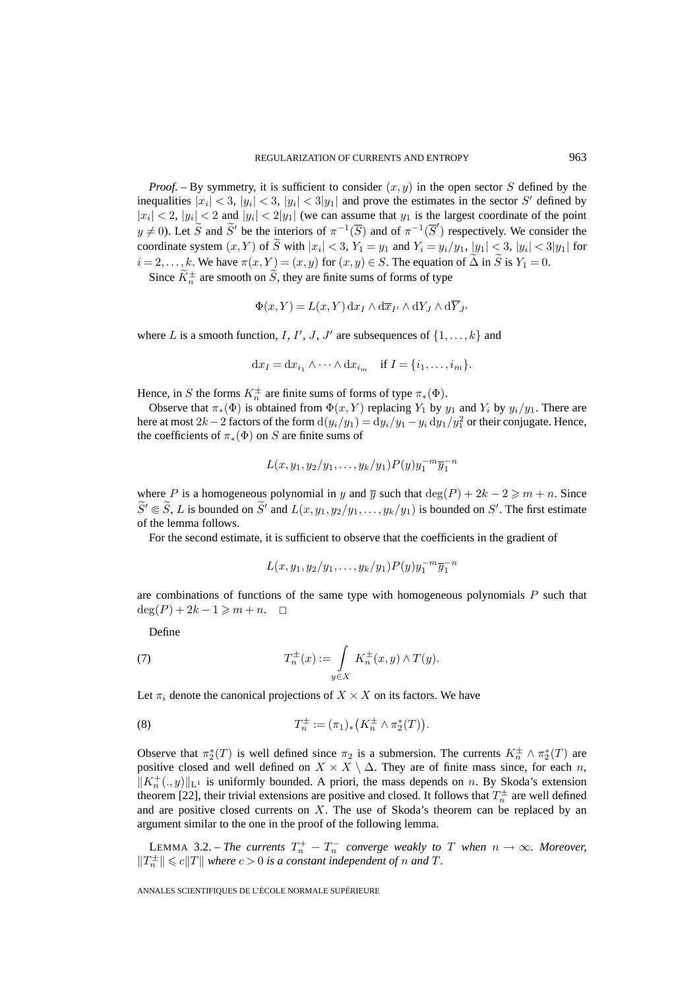*Proof.* – By symmetry, it is sufficient to consider  $(x, y)$  in the open sector S defined by the inequalities  $|x_i| < 3$ ,  $|y_i| < 3$ ,  $|y_i| < 3|y_1|$  and prove the estimates in the sector S' defined by  $|x_i| < 2$ ,  $|y_i| < 2$  and  $|y_i| < 2|y_1|$  (we can assume that  $y_1$  is the largest coordinate of the point  $y \neq 0$ ). Let  $\widetilde{S}$  and  $\widetilde{S}'$  be the interiors of  $\pi^{-1}(\overline{S})$  and of  $\pi^{-1}(\overline{S}')$  respectively. We consider the coordinate system  $(x, Y)$  of  $\widetilde{S}$  with  $|x_i| < 3$ ,  $Y_1 = y_1$  and  $Y_i = y_i/y_1$ ,  $|y_1| < 3$ ,  $|y_i| < 3|y_1|$  for  $i = 2, \ldots, k$ . We have  $\pi(x, Y) = (x, y)$  for  $(x, y) \in S$ . The equation of  $\tilde{\Delta}$  in  $\tilde{S}$  is  $Y_1 = 0$ .

Since  $K_n^{\pm}$  are smooth on S, they are finite sums of forms of type

$$
\Phi(x, Y) = L(x, Y) \, dx_I \wedge d\overline{x}_{I'} \wedge dY_J \wedge d\overline{Y}_{J'}
$$

where L is a smooth function, I, I', J, J' are subsequences of  $\{1,\ldots,k\}$  and

$$
dx_I = dx_{i_1} \wedge \cdots \wedge dx_{i_m} \quad \text{if } I = \{i_1, \ldots, i_m\}.
$$

Hence, in S the forms  $K_n^{\pm}$  are finite sums of forms of type  $\pi_*(\Phi)$ .

Observe that  $\pi_*(\Phi)$  is obtained from  $\Phi(x, Y)$  replacing  $Y_1$  by  $y_1$  and  $Y_i$  by  $y_i/y_1$ . There are here at most 2k – 2 factors of the form  $d(y_i/y_1) = dy_i/y_1 - y_i dy_1/y_1^2$  or their conjugate. Hence, the coefficients of  $\pi_*(\Phi)$  on S are finite sums of

$$
L(x,y_1,y_2/y_1,\ldots,y_k/y_1)P(y)y_1^{-m}\overline{y}_1^{-n}
$$

where P is a homogeneous polynomial in y and  $\overline{y}$  such that  $deg(P) + 2k - 2 \geq m + n$ . Since  $S' \in S$ , L is bounded on S' and  $L(x, y_1, y_2/y_1, \ldots, y_k/y_1)$  is bounded on S'. The first estimate of the lemma follows.

For the second estimate, it is sufficient to observe that the coefficients in the gradient of

$$
L(x,y_1,y_2/y_1,\ldots,y_k/y_1)P(y)y_1^{-m}\overline{y}_1^{-n}
$$

are combinations of functions of the same type with homogeneous polynomials  $P$  such that  $\deg(P) + 2k - 1 \geq m + n. \quad \Box$ 

Define

(7) 
$$
T_n^{\pm}(x) := \int\limits_{y \in X} K_n^{\pm}(x, y) \wedge T(y).
$$

Let  $\pi_i$  denote the canonical projections of  $X \times X$  on its factors. We have

(8) 
$$
T_n^{\pm} := (\pi_1)_* \left( K_n^{\pm} \wedge \pi_2^*(T) \right).
$$

Observe that  $\pi_2^*(T)$  is well defined since  $\pi_2$  is a submersion. The currents  $K_n^{\pm} \wedge \pi_2^*(T)$  are positive closed and well defined on  $X \times X \setminus \Delta$ . They are of finite mass since, for each n,  $||K_n^+(\cdot, y)||_{L^1}$  is uniformly bounded. A priori, the mass depends on n. By Skoda's extension theorem [22], their trivial extensions are positive and closed. It follows that  $T_n^{\pm}$  are well defined and are positive closed currents on  $X$ . The use of Skoda's theorem can be replaced by an argument similar to the one in the proof of the following lemma.

LEMMA 3.2. – *The currents*  $T_n^+ - T_n^-$  *converge weakly to*  $T$  *when*  $n \to \infty$ *. Moreover,*  $||T_n^{\pm}|| \leq c||T||$  where  $c > 0$  is a constant independent of n and T.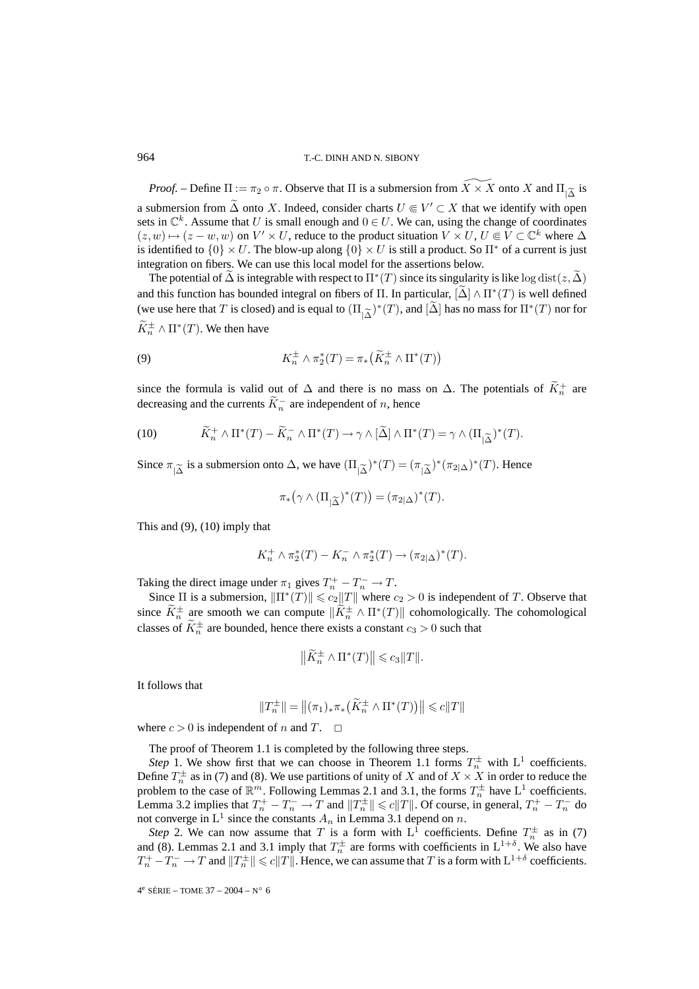*Proof.* – Define  $\Pi := \pi_2 \circ \pi$ . Observe that  $\Pi$  is a submersion from  $\widetilde{X} \times \widetilde{X}$  onto X and  $\Pi_{\widetilde{X}}$  is a submersion from  $\tilde{\Delta}$  onto X. Indeed, consider charts  $U \in V' \subset X$  that we identify with open sets in  $\mathbb{C}^k$ . Assume that U is small enough and  $0 \in U$ . We can, using the change of coordinates  $(z, w) \mapsto (z - w, w)$  on  $V' \times U$ , reduce to the product situation  $V \times U$ ,  $U \subseteq V \subseteq \mathbb{C}^k$  where  $\Delta$ is identified to  ${0} \times U$ . The blow-up along  ${0} \times U$  is still a product. So  $\Pi^*$  of a current is just integration on fibers. We can use this local model for the assertions below.

The potential of  $\Delta$  is integrable with respect to  $\Pi^*(T)$  since its singularity is like log dist( $z, \Delta$ ) and this function has bounded integral on fibers of  $\Pi$ . In particular,  $[\Delta] \wedge \Pi^*(T)$  is well defined (we use here that T is closed) and is equal to  $(\Pi_{\alpha} \tilde{\lambda})^*(T)$ , and  $[\Delta]$  has no mass for  $\Pi^*(T)$  nor for  $K_n^{\pm} \wedge \Pi^*(T)$ . We then have

(9) 
$$
K_n^{\pm} \wedge \pi_2^*(T) = \pi_*\left(\widetilde{K}_n^{\pm} \wedge \Pi^*(T)\right)
$$

since the formula is valid out of  $\Delta$  and there is no mass on  $\Delta$ . The potentials of  $K_n^+$  are decreasing and the currents  $K_n^-$  are independent of n, hence

(10) 
$$
\widetilde{K}_n^+ \wedge \Pi^*(T) - \widetilde{K}_n^- \wedge \Pi^*(T) \to \gamma \wedge [\widetilde{\Delta}] \wedge \Pi^*(T) = \gamma \wedge (\Pi_{|\widetilde{\Delta}})^*(T).
$$

Since  $\pi_{\widetilde{|\Lambda}}$  is a submersion onto  $\Delta$ , we have  $(\Pi_{\widetilde{|\Lambda}})^*(T)=(\pi_{\widetilde{|\Lambda}})^*(\pi_{2|\Delta})^*(T)$ . Hence

$$
\pi_*\left(\gamma \wedge (\Pi_{|\widetilde{\Delta}})^*(T)\right) = (\pi_{2|\Delta})^*(T).
$$

This and  $(9)$ ,  $(10)$  imply that

$$
K_n^+ \wedge \pi_2^*(T) - K_n^- \wedge \pi_2^*(T) \to (\pi_{2|\Delta})^*(T).
$$

Taking the direct image under  $\pi_1$  gives  $T_n^+ - T_n^- \to T$ .

Since  $\Pi$  is a submersion,  $\|\Pi^*(T)\| \leq c_2 \|T\|$  where  $c_2 > 0$  is independent of T. Observe that since  $K_n^{\pm}$  are smooth we can compute  $||K_n^{\pm} \wedge \Pi^*(T)||$  cohomologically. The cohomological classes of  $K_n^{\pm}$  are bounded, hence there exists a constant  $c_3 > 0$  such that

$$
\left\|\widetilde{K}_n^{\pm} \wedge \Pi^*(T)\right\| \leqslant c_3 \|T\|.
$$

It follows that

$$
\|T_n^\pm\|=\left\|(\pi_1)_*\pi_*\left(\tilde K_n^\pm\wedge\Pi^*(T)\right)\right\|\leqslant c\|T\|
$$

where  $c > 0$  is independent of n and T.  $\Box$ 

The proof of Theorem 1.1 is completed by the following three steps.

*Step* 1. We show first that we can choose in Theorem 1.1 forms  $T_n^{\pm}$  with  $L^1$  coefficients. Define  $T_n^{\pm}$  as in (7) and (8). We use partitions of unity of X and of  $X \times X$  in order to reduce the problem to the case of  $\mathbb{R}^m$ . Following Lemmas 2.1 and 3.1, the forms  $T_n^{\pm}$  have  $L^1$  coefficients. Lemma 3.2 implies that  $T_n^+ - T_n^- \to T$  and  $||T_n^{\pm}|| \leq c||T||$ . Of course, in general,  $T_n^+ - T_n^-$  do not converge in  $L^1$  since the constants  $A_n$  in Lemma 3.1 depend on n.

*Step* 2. We can now assume that T is a form with  $L^1$  coefficients. Define  $T_n^{\pm}$  as in (7) and (8). Lemmas 2.1 and 3.1 imply that  $T_n^{\pm}$  are forms with coefficients in  $L^{1+\delta}$ . We also have  $T_n^+ - T_n^- \to T$  and  $||T_n^{\pm}|| \leqslant c||T||$ . Hence, we can assume that  $T$  is a form with  $L^{1+\delta}$  coefficients.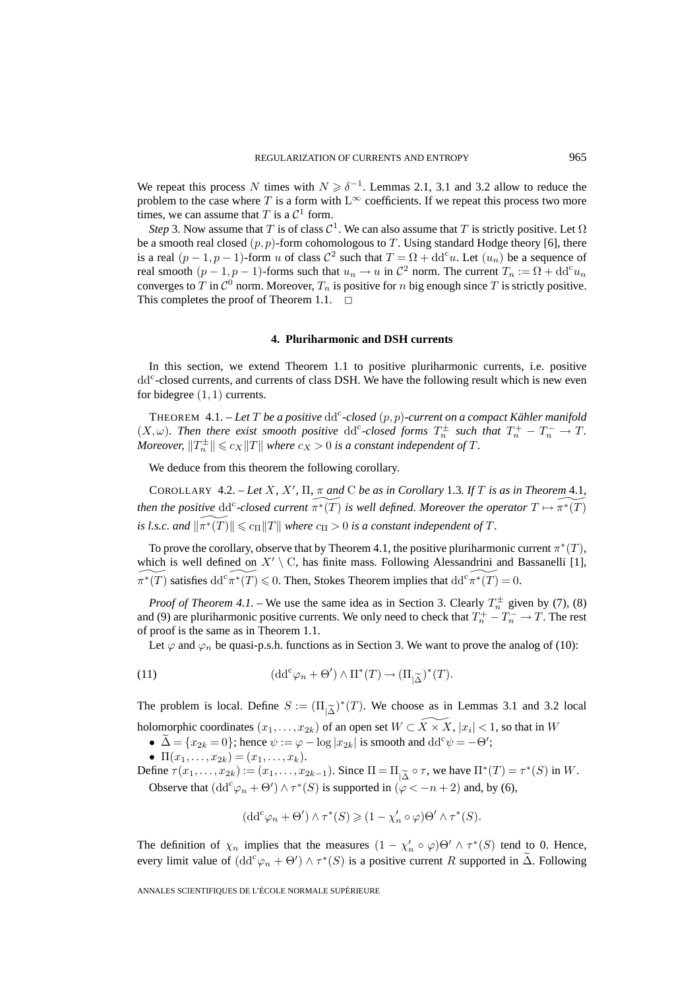We repeat this process N times with  $N \ge \delta^{-1}$ . Lemmas 2.1, 3.1 and 3.2 allow to reduce the problem to the case where T is a form with  $L^{\infty}$  coefficients. If we repeat this process two more times, we can assume that T is a  $\mathcal{C}^1$  form.

*Step* 3. Now assume that T is of class  $C^1$ . We can also assume that T is strictly positive. Let  $\Omega$ be a smooth real closed  $(p, p)$ -form cohomologous to T. Using standard Hodge theory [6], there is a real  $(p-1, p-1)$ -form u of class  $C^2$  such that  $T = \Omega + dd^c u$ . Let  $(u_n)$  be a sequence of real smooth  $(p-1, p-1)$ -forms such that  $u_n \to u$  in  $\mathcal{C}^2$  norm. The current  $T_n := \Omega + dd^c u_n$ converges to T in  $\mathcal{C}^0$  norm. Moreover,  $T_n$  is positive for n big enough since T is strictly positive. This completes the proof of Theorem 1.1.  $\Box$ 

## **4. Pluriharmonic and DSH currents**

In this section, we extend Theorem 1.1 to positive pluriharmonic currents, i.e. positive dd<sup>c</sup>-closed currents, and currents of class DSH. We have the following result which is new even for bidegree  $(1, 1)$  currents.

THEOREM  $4.1.$  – Let  $T$  be a positive  $dd^c$ -closed  $(p, p)$ -current on a compact Kähler manifold  $(X, \omega)$ . Then there exist smooth positive dd<sup>c</sup>-closed forms  $T_n^{\pm}$  such that  $T_n^+ - T_n^- \to T$ . *Moreover,*  $||T_n^{\pm}|| \leqslant c_X ||T||$  where  $c_X > 0$  is a constant independent of T.

We deduce from this theorem the following corollary.

COROLLARY 4.2.  $-$  *Let* X, X',  $\Pi$ ,  $\pi$  and C *be as in Corollary* 1.3*. If* T *is as in Theorem* 4.1*, then the positive*  $\text{dd}^c$ -closed current  $\widetilde{\pi^*(T)}$  is well defined. Moreover the operator  $T \mapsto \widetilde{\pi^*(T)}$ *is l.s.c. and*  $\Vert \widetilde{\pi^*(T)} \Vert \leqslant c_{\Pi} \Vert T \Vert$  where  $c_{\Pi} > 0$  *is a constant independent of*  $T$ *.* 

To prove the corollary, observe that by Theorem 4.1, the positive pluriharmonic current  $\pi^*(T)$ , which is well defined on  $X' \setminus C$ , has finite mass. Following Alessandrini and Bassanelli [1],  $\widetilde{\pi^*(T)}$  satisfies  $\mathrm{dd}^c \widetilde{\pi^*(T)} \leq 0$ . Then, Stokes Theorem implies that  $\mathrm{dd}^c \widetilde{\pi^*(T)} = 0$ .

*Proof of Theorem 4.1.* – We use the same idea as in Section 3. Clearly  $T_n^{\pm}$  given by (7), (8) and (9) are pluriharmonic positive currents. We only need to check that  $T_n^+ - T_n^- \to T$ . The rest of proof is the same as in Theorem 1.1.

Let  $\varphi$  and  $\varphi_n$  be quasi-p.s.h. functions as in Section 3. We want to prove the analog of (10):

(11) 
$$
(\mathrm{dd}^c \varphi_n + \Theta') \wedge \Pi^*(T) \to (\Pi_{|\widetilde{\Delta}})^*(T).
$$

The problem is local. Define  $S := (\Pi_{\alpha}^{\beta})^*(T)$ . We choose as in Lemmas 3.1 and 3.2 local holomorphic coordinates  $(x_1,...,x_{2k})$  of an open set  $W \subset \widetilde{X} \times X$ ,  $|x_i| < 1$ , so that in W

- $\widetilde{\Delta} = \{x_{2k} = 0\}$ ; hence  $\psi := \varphi \log|x_{2k}|$  is smooth and  $\mathrm{dd}^c \psi = -\Theta'$ ;
- $\Pi(x_1,\ldots,x_{2k})=(x_1,\ldots,x_k).$

Define  $\tau(x_1,\ldots,x_{2k}) := (x_1,\ldots,x_{2k-1})$ . Since  $\Pi = \Pi_{\Lambda} \circ \tau$ , we have  $\Pi^*(T) = \tau^*(S)$  in W. Observe that  $(dd^c\varphi_n+\Theta')\wedge\tau^*(S)$  is supported in  $(\varphi<-n+2)$  and, by (6),

$$
(\mathrm{dd}^c \varphi_n + \Theta') \wedge \tau^*(S) \geq (1 - \chi'_n \circ \varphi) \Theta' \wedge \tau^*(S).
$$

The definition of  $\chi_n$  implies that the measures  $(1 - \chi'_n \circ \varphi) \Theta' \wedge \tau^*(S)$  tend to 0. Hence, every limit value of  $(dd^c\varphi_n + \Theta') \wedge \tau^*(S)$  is a positive current R supported in  $\tilde{\Delta}$ . Following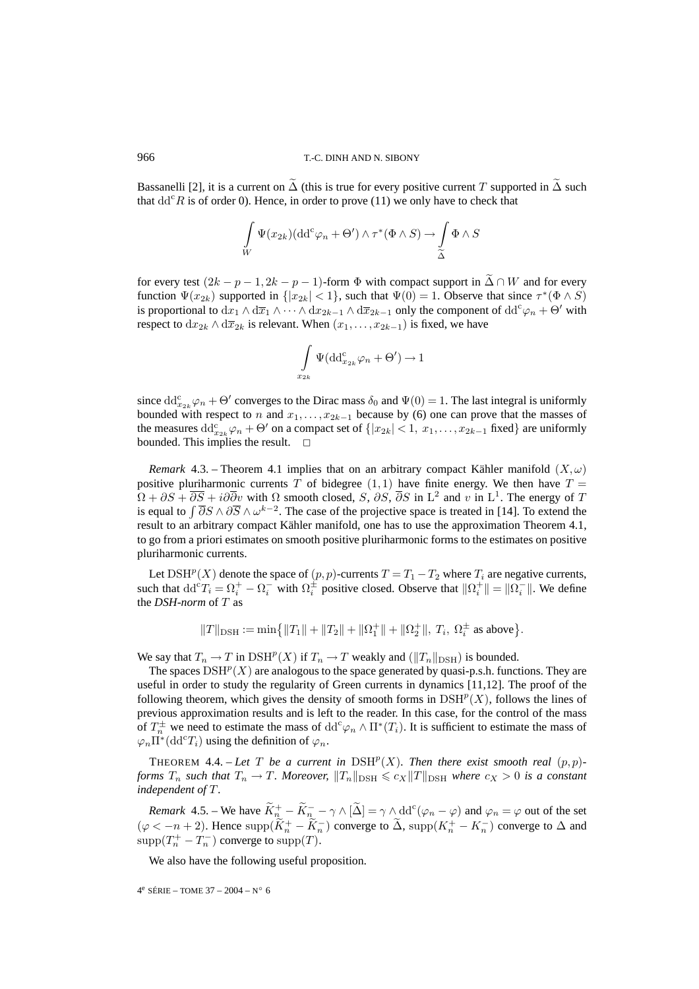Bassanelli [2], it is a current on  $\Delta$  (this is true for every positive current T supported in  $\Delta$  such that  $dd^c R$  is of order 0). Hence, in order to prove (11) we only have to check that

$$
\int_{W} \Psi(x_{2k}) (\mathrm{d} \mathrm{d}^c \varphi_n + \Theta') \wedge \tau^* (\Phi \wedge S) \longrightarrow \int_{\widetilde{\Delta}} \Phi \wedge S
$$

for every test  $(2k - p - 1, 2k - p - 1)$ -form  $\Phi$  with compact support in  $\Delta \cap W$  and for every function  $\Psi(x_{2k})$  supported in  $\{|x_{2k}| < 1\}$ , such that  $\Psi(0) = 1$ . Observe that since  $\tau^*(\Phi \wedge S)$ is proportional to  $dx_1 \wedge dx_1 \wedge \cdots \wedge dx_{2k-1} \wedge d\overline{x}_{2k-1}$  only the component of  $dd^c \varphi_n + \Theta'$  with respect to  $dx_{2k} \wedge d\overline{x}_{2k}$  is relevant. When  $(x_1,...,x_{2k-1})$  is fixed, we have

$$
\int_{x_{2k}} \Psi(\mathrm{dd}^c_{x_{2k}}\varphi_n + \Theta') \to 1
$$

since  $dd_{x_{2k}}^c \varphi_n + \Theta'$  converges to the Dirac mass  $\delta_0$  and  $\Psi(0) = 1$ . The last integral is uniformly bounded with respect to n and  $x_1, \ldots, x_{2k-1}$  because by (6) one can prove that the masses of the measures  $\text{dd}_{x_{2k}}^c \varphi_n + \Theta'$  on a compact set of  $\{|x_{2k}| < 1, x_1, \ldots, x_{2k-1} \text{ fixed}\}\$  are uniformly bounded. This implies the result.  $\Box$ 

*Remark* 4.3. – Theorem 4.1 implies that on an arbitrary compact Kähler manifold  $(X,\omega)$ positive pluriharmonic currents  $T$  of bidegree  $(1, 1)$  have finite energy. We then have  $T =$  $\Omega + \partial S + \overline{\partial S} + i\partial \overline{\partial} v$  with  $\Omega$  smooth closed, S,  $\partial S$ ,  $\overline{\partial} S$  in L<sup>2</sup> and v in L<sup>1</sup>. The energy of T is equal to  $\int \overline{\partial}S \wedge \partial \overline{S} \wedge \omega^{k-2}$ . The case of the projective space is treated in [14]. To extend the result to an arbitrary compact Kähler manifold, one has to use the approximation Theorem 4.1, to go from a priori estimates on smooth positive pluriharmonic forms to the estimates on positive pluriharmonic currents.

Let  $\text{DSH}^p(X)$  denote the space of  $(p, p)$ -currents  $T = T_1 - T_2$  where  $T_i$  are negative currents, such that  $dd^cT_i = \Omega_i^+ - \Omega_i^-$  with  $\Omega_i^{\pm}$  positive closed. Observe that  $\|\Omega_i^+\| = \|\Omega_i^-\|$ . We define the *DSH-norm* of T as

$$
||T||_{\rm DSH}:=\min\bigl\{||T_1||+||T_2||+||\Omega^+_1||+||\Omega^+_2||,\ T_i,\ \Omega^{\pm}_i\ \text{as above}\bigr\}.
$$

We say that  $T_n \to T$  in  $\text{DSH}^p(X)$  if  $T_n \to T$  weakly and  $(\|T_n\|_{\text{DSH}})$  is bounded.

The spaces  $\text{DSH}^p(X)$  are analogous to the space generated by quasi-p.s.h. functions. They are useful in order to study the regularity of Green currents in dynamics [11,12]. The proof of the following theorem, which gives the density of smooth forms in  $\text{DSH}^p(X)$ , follows the lines of previous approximation results and is left to the reader. In this case, for the control of the mass of  $T_n^{\pm}$  we need to estimate the mass of  $\text{dd}^c \varphi_n \wedge \Pi^*(T_i)$ . It is sufficient to estimate the mass of  $\varphi_n \Pi^*({\rm dd}^c T_i)$  using the definition of  $\varphi_n$ .

THEOREM 4.4. – Let T be a current in  $DSH<sup>p</sup>(X)$ *. Then there exist smooth real*  $(p, p)$ *forms*  $T_n$  *such that*  $T_n \to T$ *. Moreover,*  $||T_n||_{\text{DSH}} \le c_X||T||_{\text{DSH}}$  *where*  $c_X > 0$  *is a constant independent of* T.

*Remark* 4.5. – We have  $\widetilde{K}^+_{n_{\sim}} - \widetilde{K}^-_{n_{\sim}} - \gamma \wedge [\widetilde{\Delta}] = \gamma \wedge \text{dd}^c(\varphi_n - \varphi)$  and  $\varphi_n = \varphi$  out of the set  $(\varphi < -n+2)$ . Hence supp $(\widetilde{K}_n^+ - \widetilde{K}_n^-)$  converge to  $\widetilde{\Delta}$ , supp $(K_n^+ - K_n^-)$  converge to  $\Delta$  and  $\text{supp}(T_n^+ - T_n^-)$  converge to  $\text{supp}(T)$ .

We also have the following useful proposition.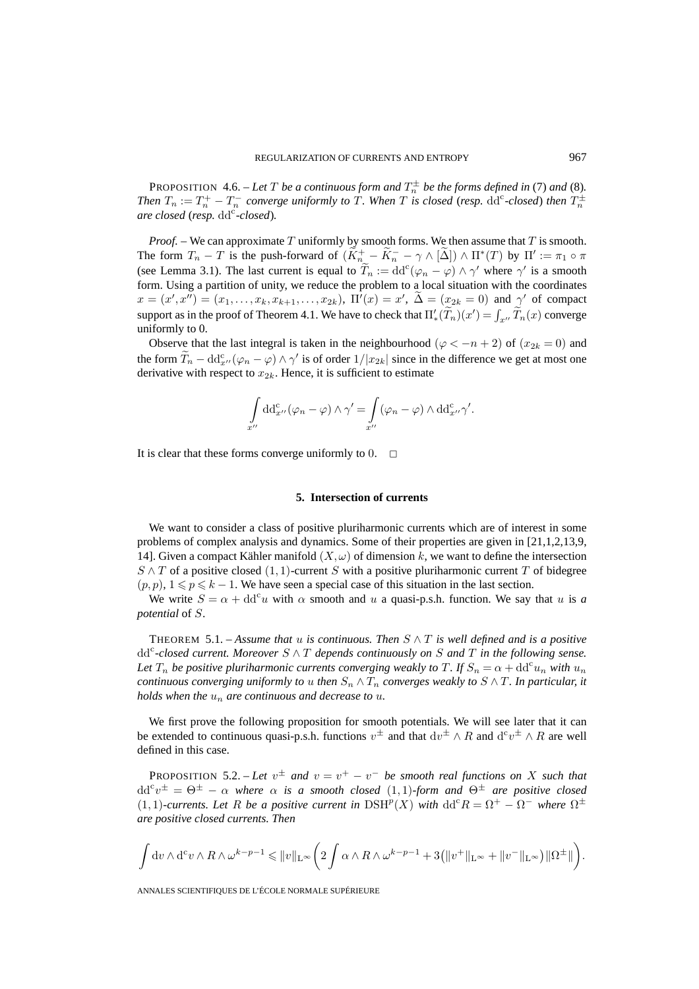PROPOSITION 4.6. – Let T be a continuous form and  $T_n^{\pm}$  be the forms defined in (7) and (8). *Then*  $T_n := T_n^+ - T_n^-$  *converge uniformly to* T. When T is closed (resp.  $dd^c$ -closed) then  $T_n^{\pm}$  $\alpha$ *re closed (resp.*  $\mathrm{dd}^c$ *-closed).* 

*Proof.* – We can approximate T uniformly by smooth forms. We then assume that T is smooth. The form  $T_n - T$  is the push-forward of  $(K_{n_{\infty}}^+ - K_n^- - \gamma \wedge [\Delta]) \wedge \Pi^*(T)$  by  $\Pi' := \pi_1 \circ \pi$ (see Lemma 3.1). The last current is equal to  $\widetilde{T}_n := dd^c(\varphi_n - \varphi) \wedge \gamma'$  where  $\gamma'$  is a smooth form. Using a partition of unity, we reduce the problem to a local situation with the coordinates  $x = (x', x'') = (x_1, \ldots, x_k, x_{k+1}, \ldots, x_{2k}), \Pi'(x) = x', \Delta = (\underline{x}_{2k} = 0) \text{ and } \gamma' \text{ of compact}$ support as in the proof of Theorem 4.1. We have to check that  $\Pi'_{*}(\tilde{T}_n)(x') = \int_{x''} \tilde{T}_n(x)$  converge uniformly to 0.

Observe that the last integral is taken in the neighbourhood ( $\varphi < -n + 2$ ) of  $(x_{2k} = 0)$  and the form  $\hat{T}_n - \mathrm{dd}_{x''}^c(\varphi_n - \varphi) \wedge \gamma'$  is of order  $1/|x_{2k}|$  since in the difference we get at most one derivative with respect to  $x_{2k}$ . Hence, it is sufficient to estimate

$$
\int_{x''} dd^c_{x''}(\varphi_n - \varphi) \wedge \gamma' = \int_{x''} (\varphi_n - \varphi) \wedge dd^c_{x''} \gamma'.
$$

It is clear that these forms converge uniformly to  $0.  $\Box$$ 

#### **5. Intersection of currents**

We want to consider a class of positive pluriharmonic currents which are of interest in some problems of complex analysis and dynamics. Some of their properties are given in [21,1,2,13,9, 14]. Given a compact Kähler manifold  $(X, \omega)$  of dimension k, we want to define the intersection  $S \wedge T$  of a positive closed  $(1, 1)$ -current S with a positive pluriharmonic current T of bidegree  $(p, p), 1 \leq p \leq k - 1$ . We have seen a special case of this situation in the last section.

We write  $S = \alpha + dd^c u$  with  $\alpha$  smooth and u a quasi-p.s.h. function. We say that u is a *potential* of S.

THEOREM 5.1. – *Assume that* u *is continuous. Then*  $S \wedge T$  *is well defined and is a positive*  $dd^c$ -closed current. Moreover  $S \wedge T$  depends continuously on S and T in the following sense. Let  $T_n$  be positive pluriharmonic currents converging weakly to T. If  $S_n = \alpha + \text{dd}^c u_n$  with  $u_n$ *continuous converging uniformly to* u *then*  $S_n \wedge T_n$  *converges weakly to*  $S \wedge T$ *. In particular, it holds when the*  $u_n$  *are continuous and decrease to*  $u$ *.* 

We first prove the following proposition for smooth potentials. We will see later that it can be extended to continuous quasi-p.s.h. functions  $v^{\pm}$  and that  $dv^{\pm} \wedge R$  and  $d^c v^{\pm} \wedge R$  are well defined in this case.

PROPOSITION 5.2. – Let  $v^{\pm}$  and  $v = v^{+} - v^{-}$  be smooth real functions on X such that  $\mathrm{d} \mathrm{d}^c v^\pm = \Theta^\pm - \alpha$  where  $\alpha$  is a smooth closed  $(1,1)$ -form and  $\Theta^\pm$  are positive closed  $(1,1)$ -currents. Let R be a positive current in  $\text{DSH}^p(X)$  with  $\text{dd}^c R = \Omega^+ - \Omega^-$  where  $\Omega^{\pm}$ *are positive closed currents. Then*

$$
\int dv \wedge d^c v \wedge R \wedge \omega^{k-p-1} \leq ||v||_{\mathcal{L}^{\infty}} \bigg( 2 \int \alpha \wedge R \wedge \omega^{k-p-1} + 3(||v^+||_{\mathcal{L}^{\infty}} + ||v^-||_{\mathcal{L}^{\infty}} \big) ||\Omega^{\pm}|| \bigg).
$$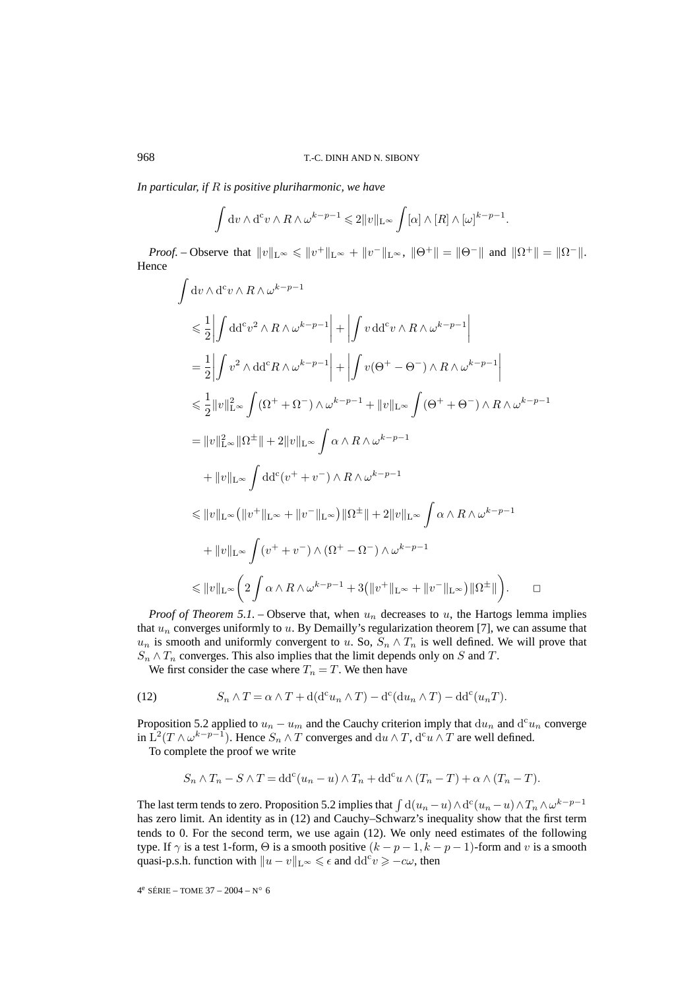*In particular, if* R *is positive pluriharmonic, we have*

$$
\int \mathrm{d} v \wedge \mathrm{d}^c v \wedge R \wedge \omega^{k-p-1} \leq 2||v||_{\mathrm{L}^{\infty}} \int [\alpha] \wedge [R] \wedge [\omega]^{k-p-1}.
$$

*Proof.* – Observe that  $||v||_{L^{\infty}} \le ||v^+||_{L^{\infty}} + ||v^-||_{L^{\infty}}$ ,  $||\Theta^+|| = ||\Theta^-||$  and  $||\Omega^+|| = ||\Omega^-||$ . Hence

$$
\int dv \wedge d^{c}v \wedge R \wedge \omega^{k-p-1}
$$
\n
$$
\leq \frac{1}{2} \left| \int dd^{c}v^{2} \wedge R \wedge \omega^{k-p-1} \right| + \left| \int v dd^{c}v \wedge R \wedge \omega^{k-p-1} \right|
$$
\n
$$
= \frac{1}{2} \left| \int v^{2} \wedge dd^{c}R \wedge \omega^{k-p-1} \right| + \left| \int v(\Theta^{+} - \Theta^{-}) \wedge R \wedge \omega^{k-p-1} \right|
$$
\n
$$
\leq \frac{1}{2} ||v||_{L^{\infty}}^{2} \int (\Omega^{+} + \Omega^{-}) \wedge \omega^{k-p-1} + ||v||_{L^{\infty}} \int (\Theta^{+} + \Theta^{-}) \wedge R \wedge \omega^{k-p-1}
$$
\n
$$
= ||v||_{L^{\infty}}^{2} ||\Omega^{\pm}|| + 2 ||v||_{L^{\infty}} \int \alpha \wedge R \wedge \omega^{k-p-1}
$$
\n
$$
+ ||v||_{L^{\infty}} \int dd^{c}(v^{+} + v^{-}) \wedge R \wedge \omega^{k-p-1}
$$
\n
$$
\leq ||v||_{L^{\infty}} (||v^{+}||_{L^{\infty}} + ||v^{-}||_{L^{\infty}}) ||\Omega^{\pm}|| + 2 ||v||_{L^{\infty}} \int \alpha \wedge R \wedge \omega^{k-p-1}
$$
\n
$$
+ ||v||_{L^{\infty}} \int (v^{+} + v^{-}) \wedge (\Omega^{+} - \Omega^{-}) \wedge \omega^{k-p-1}
$$
\n
$$
\leq ||v||_{L^{\infty}} (2 \int \alpha \wedge R \wedge \omega^{k-p-1} + 3(||v^{+}||_{L^{\infty}} + ||v^{-}||_{L^{\infty}}) ||\Omega^{\pm}||).
$$

*Proof of Theorem 5.1.* – Observe that, when  $u_n$  decreases to u, the Hartogs lemma implies that  $u_n$  converges uniformly to  $u$ . By Demailly's regularization theorem [7], we can assume that  $u_n$  is smooth and uniformly convergent to u. So,  $S_n \wedge T_n$  is well defined. We will prove that  $S_n \wedge T_n$  converges. This also implies that the limit depends only on S and T.

We first consider the case where  $T_n = T$ . We then have

(12) 
$$
S_n \wedge T = \alpha \wedge T + d(d^c u_n \wedge T) - d^c (du_n \wedge T) - dd^c (u_n T).
$$

Proposition 5.2 applied to  $u_n - u_m$  and the Cauchy criterion imply that  $du_n$  and  $d^c u_n$  converge in  $L^2(T \wedge \omega^{k-p-1})$ . Hence  $S_n \wedge T$  converges and  $du \wedge T$ ,  $d^c u \wedge T$  are well defined.

To complete the proof we write

$$
S_n \wedge T_n - S \wedge T = dd^c(u_n - u) \wedge T_n + dd^c u \wedge (T_n - T) + \alpha \wedge (T_n - T).
$$

The last term tends to zero. Proposition 5.2 implies that  $\int d(u_n - u) \wedge d^c(u_n - u) \wedge T_n \wedge \omega^{k-p-1}$ has zero limit. An identity as in (12) and Cauchy–Schwarz's inequality show that the first term tends to 0. For the second term, we use again (12). We only need estimates of the following type. If  $\gamma$  is a test 1-form,  $\Theta$  is a smooth positive  $(k - p - 1, k - p - 1)$ -form and v is a smooth quasi-p.s.h. function with  $||u - v||_{L^{\infty}} \le \epsilon$  and  $\mathrm{dd}^{c}v \ge -c\omega$ , then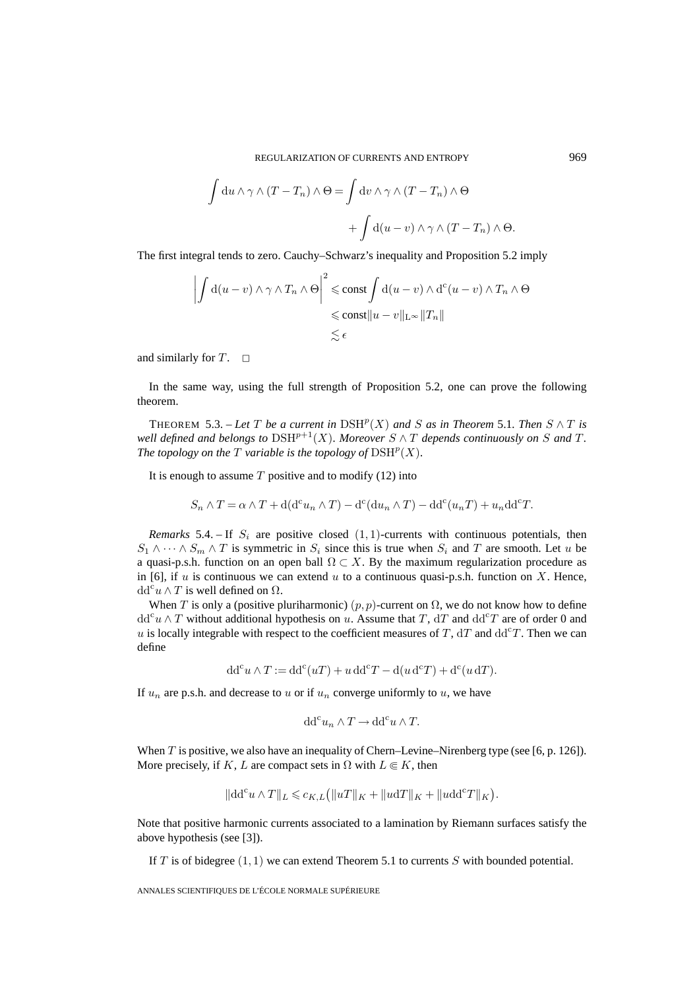REGULARIZATION OF CURRENTS AND ENTROPY 969

$$
\int du \wedge \gamma \wedge (T - T_n) \wedge \Theta = \int dv \wedge \gamma \wedge (T - T_n) \wedge \Theta
$$

$$
+ \int d(u - v) \wedge \gamma \wedge (T - T_n) \wedge \Theta.
$$

The first integral tends to zero. Cauchy–Schwarz's inequality and Proposition 5.2 imply

$$
\left| \int d(u-v) \wedge \gamma \wedge T_n \wedge \Theta \right|^2 \leqslant \text{const} \int d(u-v) \wedge d^c(u-v) \wedge T_n \wedge \Theta
$$
  

$$
\leqslant \text{const} ||u-v||_{L^{\infty}} ||T_n||
$$
  

$$
\lesssim \epsilon
$$

and similarly for  $T$ .  $\Box$ 

In the same way, using the full strength of Proposition 5.2, one can prove the following theorem.

THEOREM 5.3. – Let T be a current in  $DSH<sup>p</sup>(X)$  and S as in Theorem 5.1. Then  $S \wedge T$  is *well defined and belongs to*  $DSH^{p+1}(X)$ *. Moreover*  $S \wedge T$  *depends continuously on* S *and* T. *The topology on the*  $T$  *variable is the topology of*  $\text{DSH}^p(X)$ *.* 

It is enough to assume  $T$  positive and to modify (12) into

$$
S_n \wedge T = \alpha \wedge T + d(d^c u_n \wedge T) - d^c (du_n \wedge T) - dd^c (u_n T) + u_n dd^c T.
$$

*Remarks* 5.4. – If  $S_i$  are positive closed  $(1, 1)$ -currents with continuous potentials, then  $S_1 \wedge \cdots \wedge S_m \wedge T$  is symmetric in  $S_i$  since this is true when  $S_i$  and T are smooth. Let u be a quasi-p.s.h. function on an open ball  $\Omega \subset X$ . By the maximum regularization procedure as in [6], if u is continuous we can extend u to a continuous quasi-p.s.h. function on X. Hence,  $dd^c u \wedge T$  is well defined on  $\Omega$ .

When T is only a (positive pluriharmonic)  $(p, p)$ -current on  $\Omega$ , we do not know how to define  $dd^c u \wedge T$  without additional hypothesis on u. Assume that T,  $dT$  and  $dd^c T$  are of order 0 and u is locally integrable with respect to the coefficient measures of T,  $dT$  and  $dd^cT$ . Then we can define

$$
dd^{c}u \wedge T := dd^{c}(uT) + u dd^{c}T - d(u d^{c}T) + d^{c}(u dT).
$$

If  $u_n$  are p.s.h. and decrease to u or if  $u_n$  converge uniformly to u, we have

$$
\mathrm{dd}^c u_n \wedge T \to \mathrm{dd}^c u \wedge T.
$$

When  $T$  is positive, we also have an inequality of Chern–Levine–Nirenberg type (see [6, p. 126]). More precisely, if K, L are compact sets in  $\Omega$  with  $L \in K$ , then

$$
\|\mathrm{d} \mathrm{d}^c u \wedge T\|_L \leqslant c_{K,L} \big( \|uT\|_K + \|u \mathrm{d} T\|_K + \|u \mathrm{d} \mathrm{d}^c T\|_K \big).
$$

Note that positive harmonic currents associated to a lamination by Riemann surfaces satisfy the above hypothesis (see [3]).

If T is of bidegree  $(1, 1)$  we can extend Theorem 5.1 to currents S with bounded potential.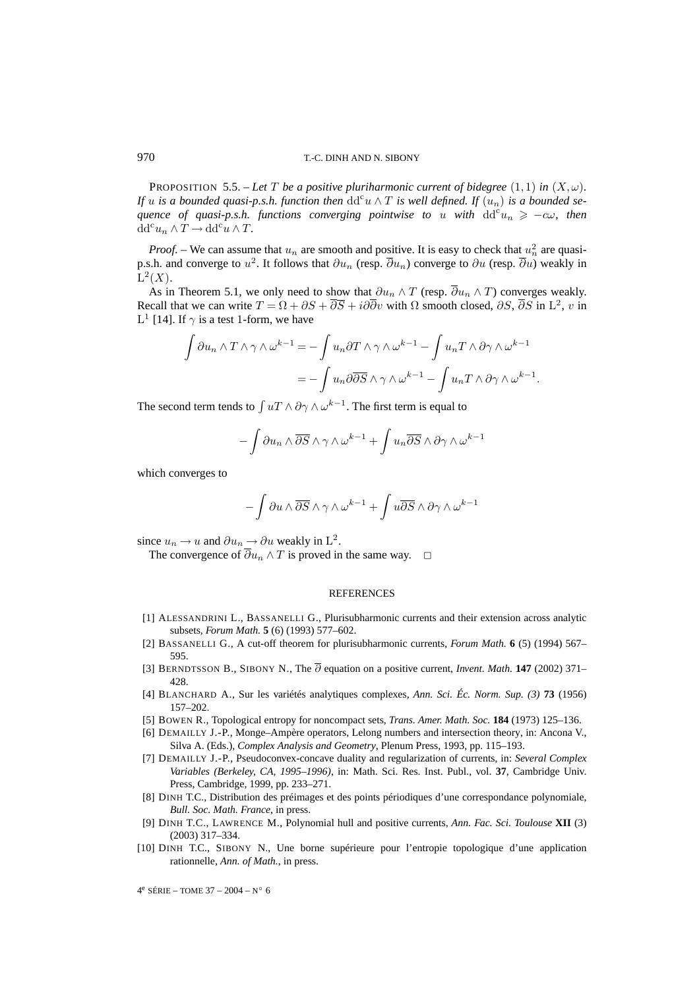PROPOSITION 5.5. – Let T be a positive pluriharmonic current of bidegree  $(1,1)$  in  $(X,\omega)$ . *If* u is a bounded quasi-p.s.h. function then  $dd^c u \wedge T$  is well defined. If  $(u_n)$  is a bounded se*quence of quasi-p.s.h. functions converging pointwise to u with*  $dd^c u_n \geq -c\omega$ , then  $dd^c u_n \wedge T \to dd^c u \wedge T.$ 

*Proof.* – We can assume that  $u_n$  are smooth and positive. It is easy to check that  $u_n^2$  are quasip.s.h. and converge to  $u^2$ . It follows that  $\partial u_n$  (resp.  $\overline{\partial} u_n$ ) converge to  $\partial u$  (resp.  $\overline{\partial} u$ ) weakly in  $L^2(X)$ .

As in Theorem 5.1, we only need to show that  $\partial u_n \wedge T$  (resp.  $\overline{\partial} u_n \wedge T$ ) converges weakly. Recall that we can write  $T = \Omega + \partial S + i\partial \overline{\partial} y$  with  $\Omega$  smooth closed,  $\partial S$ ,  $\overline{\partial} S$  in L<sup>2</sup>, v in L<sup>1</sup> [14]. If  $\gamma$  is a test 1-form, we have

$$
\int \partial u_n \wedge T \wedge \gamma \wedge \omega^{k-1} = -\int u_n \partial T \wedge \gamma \wedge \omega^{k-1} - \int u_n T \wedge \partial \gamma \wedge \omega^{k-1}
$$

$$
= -\int u_n \partial \overline{\partial S} \wedge \gamma \wedge \omega^{k-1} - \int u_n T \wedge \partial \gamma \wedge \omega^{k-1}.
$$

The second term tends to  $\int uT \wedge \partial \gamma \wedge \omega^{k-1}$ . The first term is equal to

$$
-\int\partial u_n\wedge\overline{\partial S}\wedge\gamma\wedge\omega^{k-1}+\int u_n\overline{\partial S}\wedge\partial\gamma\wedge\omega^{k-1}
$$

which converges to

$$
-\int\partial u\wedge\overline{\partial S}\wedge\gamma\wedge\omega^{k-1}+\int u\overline{\partial S}\wedge\partial\gamma\wedge\omega^{k-1}
$$

since  $u_n \to u$  and  $\partial u_n \to \partial u$  weakly in  $L^2$ .

The convergence of  $\overline{\partial} u_n \wedge T$  is proved in the same way.

#### REFERENCES

- [1] ALESSANDRINI L., BASSANELLI G., Plurisubharmonic currents and their extension across analytic subsets, *Forum Math.* **5** (6) (1993) 577–602.
- [2] BASSANELLI G., A cut-off theorem for plurisubharmonic currents, *Forum Math.* **6** (5) (1994) 567– 595.
- [3] BERNDTSSON B., SIBONY N., The ∂ equation on a positive current, *Invent. Math.* **147** (2002) 371– 428.
- [4] BLANCHARD A., Sur les variétés analytiques complexes, *Ann. Sci. Éc. Norm. Sup. (3)* **73** (1956) 157–202.
- [5] BOWEN R., Topological entropy for noncompact sets, *Trans. Amer. Math. Soc.* **184** (1973) 125–136.
- [6] DEMAILLY J.-P., Monge–Ampère operators, Lelong numbers and intersection theory, in: Ancona V., Silva A. (Eds.), *Complex Analysis and Geometry*, Plenum Press, 1993, pp. 115–193.
- [7] DEMAILLY J.-P., Pseudoconvex-concave duality and regularization of currents, in: *Several Complex Variables (Berkeley, CA, 1995–1996)*, in: Math. Sci. Res. Inst. Publ., vol. **37**, Cambridge Univ. Press, Cambridge, 1999, pp. 233–271.
- [8] DINH T.C., Distribution des préimages et des points périodiques d'une correspondance polynomiale, *Bull. Soc. Math. France*, in press.
- [9] DINH T.C., LAWRENCE M., Polynomial hull and positive currents, *Ann. Fac. Sci. Toulouse* **XII** (3) (2003) 317–334.
- [10] DINH T.C., SIBONY N., Une borne supérieure pour l'entropie topologique d'une application rationnelle, *Ann. of Math.*, in press.